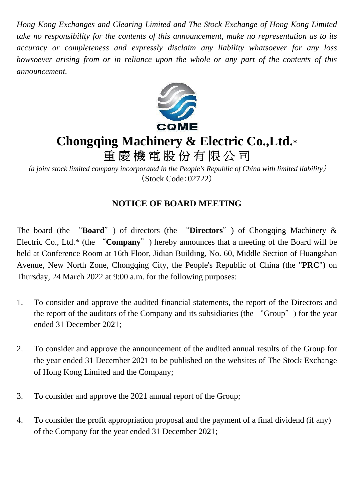*Hong Kong Exchanges and Clearing Limited and The Stock Exchange of Hong Kong Limited take no responsibility for the contents of this announcement, make no representation as to its accuracy or completeness and expressly disclaim any liability whatsoever for any loss howsoever arising from or in reliance upon the whole or any part of the contents of this announcement.*



## **Chongqing Machinery & Electric Co.,Ltd.\***

重慶機電股份有限公司

(*a joint stock limited company incorporated in the People's Republic of China with limited liability*) (Stock Code:02722)

## **NOTICE OF BOARD MEETING**

The board (the "**Board**") of directors (the "**Directors**") of Chongqing Machinery & Electric Co., Ltd.\* (the "**Company**") hereby announces that a meeting of the Board will be held at Conference Room at 16th Floor, Jidian Building, No. 60, Middle Section of Huangshan Avenue, New North Zone, Chongqing City, the People's Republic of China (the "**PRC**") on Thursday, 24 March 2022 at 9:00 a.m. for the following purposes:

- 1. To consider and approve the audited financial statements, the report of the Directors and the report of the auditors of the Company and its subsidiaries (the "Group") for the year ended 31 December 2021;
- 2. To consider and approve the announcement of the audited annual results of the Group for the year ended 31 December 2021 to be published on the websites of The Stock Exchange of Hong Kong Limited and the Company;
- 3. To consider and approve the 2021 annual report of the Group;
- 4. To consider the profit appropriation proposal and the payment of a final dividend (if any) of the Company for the year ended 31 December 2021;